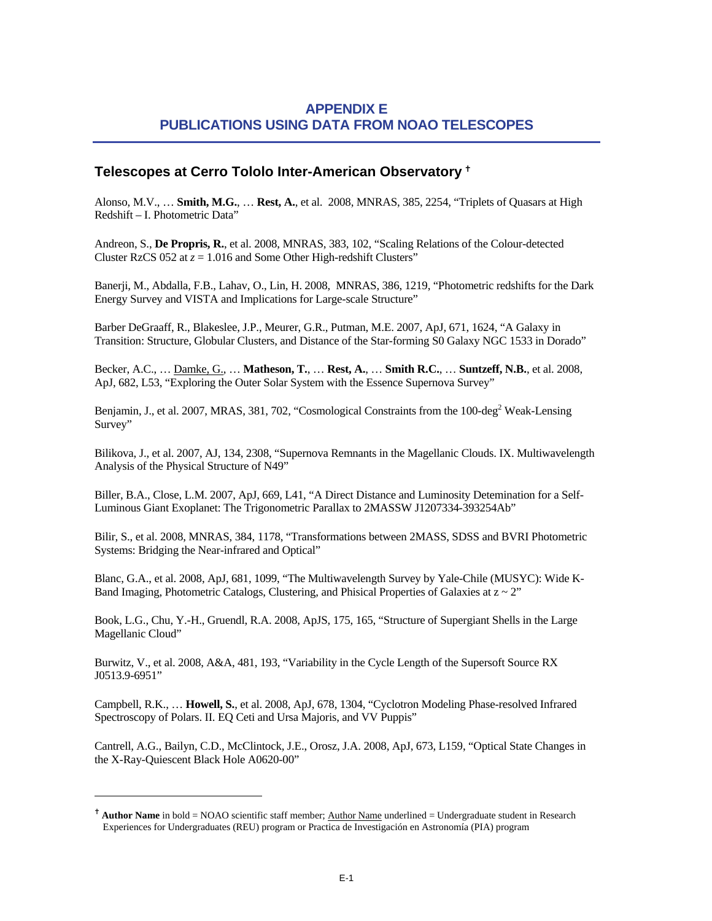## <span id="page-0-0"></span>**APPENDIX E PUBLICATIONS USING DATA FROM NOAO TELESCOPES**

## **Telescopes at Cerro Tololo Inter-American Observatory** [g](#page-0-0)

Alonso, M.V., … **Smith, M.G.**, … **Rest, A.**, et al. 2008, MNRAS, 385, 2254, "Triplets of Quasars at High Redshift – I. Photometric Data"

Andreon, S., **De Propris, R.**, et al. 2008, MNRAS, 383, 102, "Scaling Relations of the Colour-detected Cluster RzCS 052 at  $z = 1.016$  and Some Other High-redshift Clusters"

Banerji, M., Abdalla, F.B., Lahav, O., Lin, H. 2008, MNRAS, 386, 1219, "Photometric redshifts for the Dark Energy Survey and VISTA and Implications for Large-scale Structure"

Barber DeGraaff, R., Blakeslee, J.P., Meurer, G.R., Putman, M.E. 2007, ApJ, 671, 1624, "A Galaxy in Transition: Structure, Globular Clusters, and Distance of the Star-forming S0 Galaxy NGC 1533 in Dorado"

Becker, A.C., … Damke, G., … **Matheson, T.**, … **Rest, A.**, … **Smith R.C.**, … **Suntzeff, N.B.**, et al. 2008, ApJ, 682, L53, "Exploring the Outer Solar System with the Essence Supernova Survey"

Benjamin, J., et al. 2007, MRAS, 381, 702, "Cosmological Constraints from the 100-deg<sup>2</sup> Weak-Lensing Survey"

Bilikova, J., et al. 2007, AJ, 134, 2308, "Supernova Remnants in the Magellanic Clouds. IX. Multiwavelength Analysis of the Physical Structure of N49"

Biller, B.A., Close, L.M. 2007, ApJ, 669, L41, "A Direct Distance and Luminosity Detemination for a Self-Luminous Giant Exoplanet: The Trigonometric Parallax to 2MASSW J1207334-393254Ab"

Bilir, S., et al. 2008, MNRAS, 384, 1178, "Transformations between 2MASS, SDSS and BVRI Photometric Systems: Bridging the Near-infrared and Optical"

Blanc, G.A., et al. 2008, ApJ, 681, 1099, "The Multiwavelength Survey by Yale-Chile (MUSYC): Wide K-Band Imaging, Photometric Catalogs, Clustering, and Phisical Properties of Galaxies at  $z \sim 2$ "

Book, L.G., Chu, Y.-H., Gruendl, R.A. 2008, ApJS, 175, 165, "Structure of Supergiant Shells in the Large Magellanic Cloud"

Burwitz, V., et al. 2008, A&A, 481, 193, "Variability in the Cycle Length of the Supersoft Source RX J0513.9-6951"

Campbell, R.K., … **Howell, S.**, et al. 2008, ApJ, 678, 1304, "Cyclotron Modeling Phase-resolved Infrared Spectroscopy of Polars. II. EQ Ceti and Ursa Majoris, and VV Puppis"

Cantrell, A.G., Bailyn, C.D., McClintock, J.E., Orosz, J.A. 2008, ApJ, 673, L159, "Optical State Changes in the X-Ray-Quiescent Black Hole A0620-00"

1

<sup>&</sup>lt;sup>†</sup> **Author Name** in bold = NOAO scientific staff member; Author Name underlined = Undergraduate student in Research Experiences for Undergraduates (REU) program or Practica de Investigación en Astronomía (PIA) program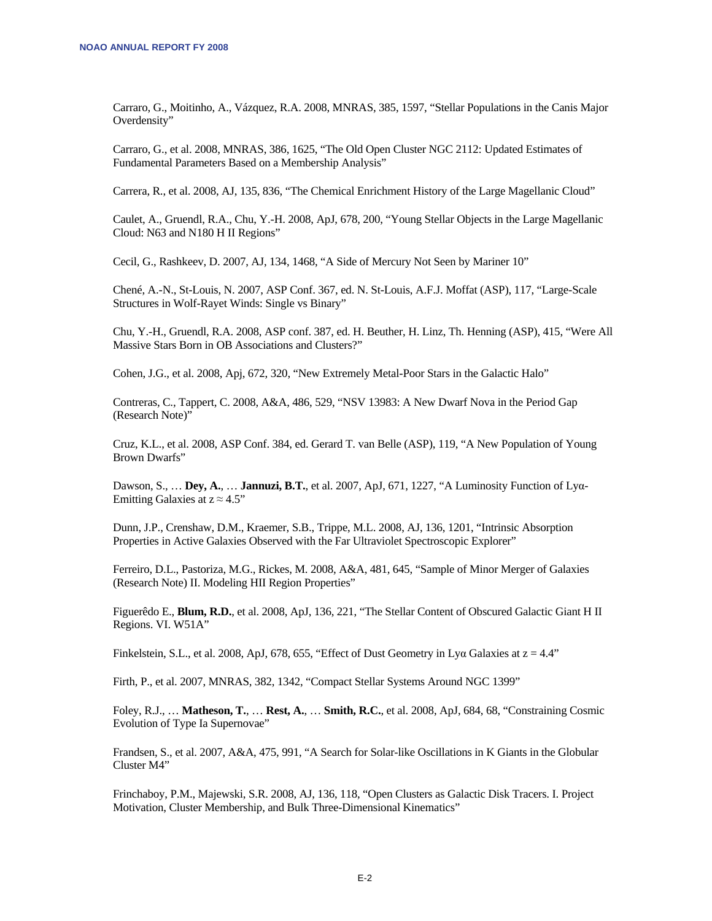Carraro, G., Moitinho, A., Vázquez, R.A. 2008, MNRAS, 385, 1597, "Stellar Populations in the Canis Major Overdensity"

Carraro, G., et al. 2008, MNRAS, 386, 1625, "The Old Open Cluster NGC 2112: Updated Estimates of Fundamental Parameters Based on a Membership Analysis"

Carrera, R., et al. 2008, AJ, 135, 836, "The Chemical Enrichment History of the Large Magellanic Cloud"

Caulet, A., Gruendl, R.A., Chu, Y.-H. 2008, ApJ, 678, 200, "Young Stellar Objects in the Large Magellanic Cloud: N63 and N180 H II Regions"

Cecil, G., Rashkeev, D. 2007, AJ, 134, 1468, "A Side of Mercury Not Seen by Mariner 10"

Chené, A.-N., St-Louis, N. 2007, ASP Conf. 367, ed. N. St-Louis, A.F.J. Moffat (ASP), 117, "Large-Scale Structures in Wolf-Rayet Winds: Single vs Binary"

Chu, Y.-H., Gruendl, R.A. 2008, ASP conf. 387, ed. H. Beuther, H. Linz, Th. Henning (ASP), 415, "Were All Massive Stars Born in OB Associations and Clusters?"

Cohen, J.G., et al. 2008, Apj, 672, 320, "New Extremely Metal-Poor Stars in the Galactic Halo"

Contreras, C., Tappert, C. 2008, A&A, 486, 529, "NSV 13983: A New Dwarf Nova in the Period Gap (Research Note)"

Cruz, K.L., et al. 2008, ASP Conf. 384, ed. Gerard T. van Belle (ASP), 119, "A New Population of Young Brown Dwarfs"

Dawson, S., … **Dey, A.**, … **Jannuzi, B.T.**, et al. 2007, ApJ, 671, 1227, "A Luminosity Function of Lyα-Emitting Galaxies at  $z \approx 4.5$ "

Dunn, J.P., Crenshaw, D.M., Kraemer, S.B., Trippe, M.L. 2008, AJ, 136, 1201, "Intrinsic Absorption Properties in Active Galaxies Observed with the Far Ultraviolet Spectroscopic Explorer"

Ferreiro, D.L., Pastoriza, M.G., Rickes, M. 2008, A&A, 481, 645, "Sample of Minor Merger of Galaxies (Research Note) II. Modeling HII Region Properties"

Figuerêdo E., **Blum, R.D.**, et al. 2008, ApJ, 136, 221, "The Stellar Content of Obscured Galactic Giant H II Regions. VI. W51A"

Finkelstein, S.L., et al. 2008, ApJ, 678, 655, "Effect of Dust Geometry in Lya Galaxies at  $z = 4.4$ "

Firth, P., et al. 2007, MNRAS, 382, 1342, "Compact Stellar Systems Around NGC 1399"

Foley, R.J., … **Matheson, T.**, … **Rest, A.**, … **Smith, R.C.**, et al. 2008, ApJ, 684, 68, "Constraining Cosmic Evolution of Type Ia Supernovae"

Frandsen, S., et al. 2007, A&A, 475, 991, "A Search for Solar-like Oscillations in K Giants in the Globular Cluster M4"

Frinchaboy, P.M., Majewski, S.R. 2008, AJ, 136, 118, "Open Clusters as Galactic Disk Tracers. I. Project Motivation, Cluster Membership, and Bulk Three-Dimensional Kinematics"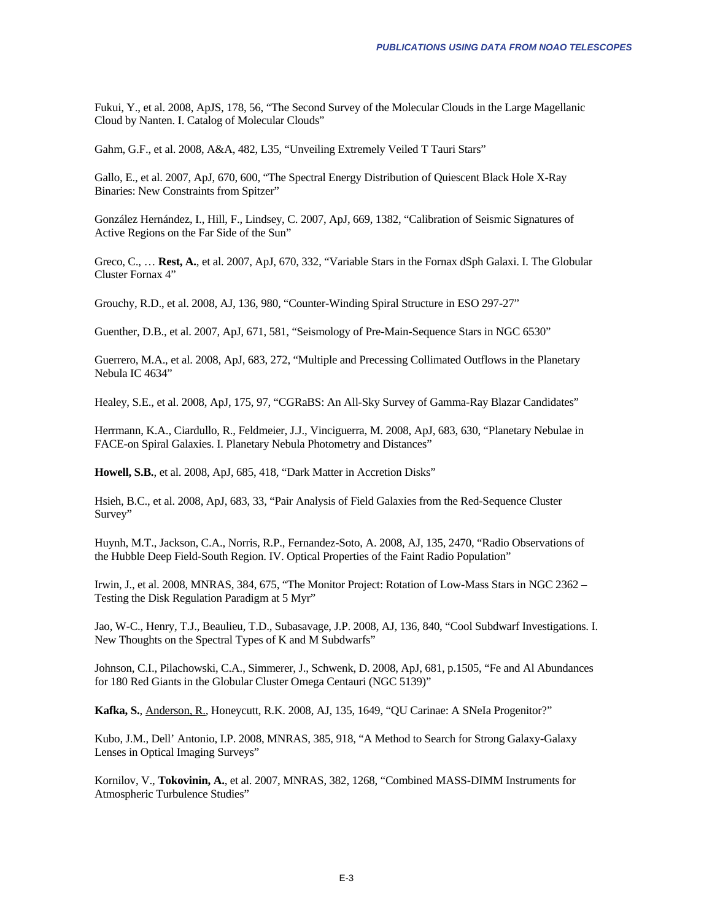Fukui, Y., et al. 2008, ApJS, 178, 56, "The Second Survey of the Molecular Clouds in the Large Magellanic Cloud by Nanten. I. Catalog of Molecular Clouds"

Gahm, G.F., et al. 2008, A&A, 482, L35, "Unveiling Extremely Veiled T Tauri Stars"

Gallo, E., et al. 2007, ApJ, 670, 600, "The Spectral Energy Distribution of Quiescent Black Hole X-Ray Binaries: New Constraints from Spitzer"

González Hernández, I., Hill, F., Lindsey, C. 2007, ApJ, 669, 1382, "Calibration of Seismic Signatures of Active Regions on the Far Side of the Sun"

Greco, C., … **Rest, A.**, et al. 2007, ApJ, 670, 332, "Variable Stars in the Fornax dSph Galaxi. I. The Globular Cluster Fornax 4"

Grouchy, R.D., et al. 2008, AJ, 136, 980, "Counter-Winding Spiral Structure in ESO 297-27"

Guenther, D.B., et al. 2007, ApJ, 671, 581, "Seismology of Pre-Main-Sequence Stars in NGC 6530"

Guerrero, M.A., et al. 2008, ApJ, 683, 272, "Multiple and Precessing Collimated Outflows in the Planetary Nebula IC 4634"

Healey, S.E., et al. 2008, ApJ, 175, 97, "CGRaBS: An All-Sky Survey of Gamma-Ray Blazar Candidates"

Herrmann, K.A., Ciardullo, R., Feldmeier, J.J., Vinciguerra, M. 2008, ApJ, 683, 630, "Planetary Nebulae in FACE-on Spiral Galaxies. I. Planetary Nebula Photometry and Distances"

**Howell, S.B.**, et al. 2008, ApJ, 685, 418, "Dark Matter in Accretion Disks"

Hsieh, B.C., et al. 2008, ApJ, 683, 33, "Pair Analysis of Field Galaxies from the Red-Sequence Cluster Survey"

Huynh, M.T., Jackson, C.A., Norris, R.P., Fernandez-Soto, A. 2008, AJ, 135, 2470, "Radio Observations of the Hubble Deep Field-South Region. IV. Optical Properties of the Faint Radio Population"

Irwin, J., et al. 2008, MNRAS, 384, 675, "The Monitor Project: Rotation of Low-Mass Stars in NGC 2362 – Testing the Disk Regulation Paradigm at 5 Myr"

Jao, W-C., Henry, T.J., Beaulieu, T.D., Subasavage, J.P. 2008, AJ, 136, 840, "Cool Subdwarf Investigations. I. New Thoughts on the Spectral Types of K and M Subdwarfs"

Johnson, C.I., Pilachowski, C.A., Simmerer, J., Schwenk, D. 2008, ApJ, 681, p.1505, "Fe and Al Abundances for 180 Red Giants in the Globular Cluster Omega Centauri (NGC 5139)"

**Kafka, S.**, Anderson, R., Honeycutt, R.K. 2008, AJ, 135, 1649, "QU Carinae: A SNeIa Progenitor?"

Kubo, J.M., Dell' Antonio, I.P. 2008, MNRAS, 385, 918, "A Method to Search for Strong Galaxy-Galaxy Lenses in Optical Imaging Surveys"

Kornilov, V., **Tokovinin, A.**, et al. 2007, MNRAS, 382, 1268, "Combined MASS-DIMM Instruments for Atmospheric Turbulence Studies"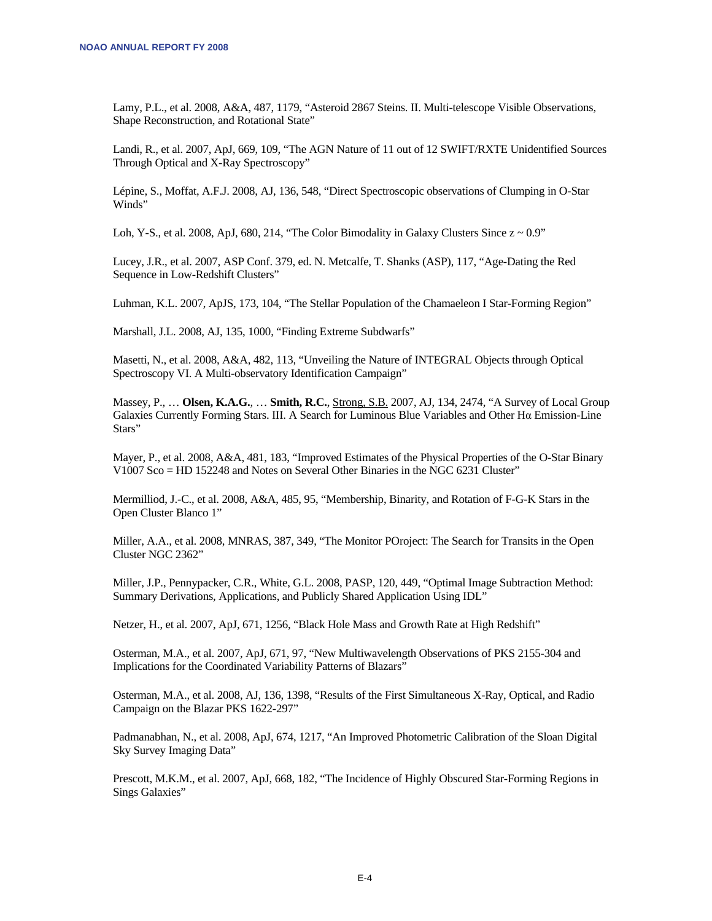Lamy, P.L., et al. 2008, A&A, 487, 1179, "Asteroid 2867 Steins. II. Multi-telescope Visible Observations, Shape Reconstruction, and Rotational State"

Landi, R., et al. 2007, ApJ, 669, 109, "The AGN Nature of 11 out of 12 SWIFT/RXTE Unidentified Sources Through Optical and X-Ray Spectroscopy"

Lépine, S., Moffat, A.F.J. 2008, AJ, 136, 548, "Direct Spectroscopic observations of Clumping in O-Star Winds"

Loh, Y-S., et al. 2008, ApJ, 680, 214, "The Color Bimodality in Galaxy Clusters Since  $z \sim 0.9$ "

Lucey, J.R., et al. 2007, ASP Conf. 379, ed. N. Metcalfe, T. Shanks (ASP), 117, "Age-Dating the Red Sequence in Low-Redshift Clusters"

Luhman, K.L. 2007, ApJS, 173, 104, "The Stellar Population of the Chamaeleon I Star-Forming Region"

Marshall, J.L. 2008, AJ, 135, 1000, "Finding Extreme Subdwarfs"

Masetti, N., et al. 2008, A&A, 482, 113, "Unveiling the Nature of INTEGRAL Objects through Optical Spectroscopy VI. A Multi-observatory Identification Campaign"

Massey, P., … **Olsen, K.A.G.**, … **Smith, R.C.**, Strong, S.B. 2007, AJ, 134, 2474, "A Survey of Local Group Galaxies Currently Forming Stars. III. A Search for Luminous Blue Variables and Other Hα Emission-Line Stars"

Mayer, P., et al. 2008, A&A, 481, 183, "Improved Estimates of the Physical Properties of the O-Star Binary V1007 Sco = HD 152248 and Notes on Several Other Binaries in the NGC 6231 Cluster"

Mermilliod, J.-C., et al. 2008, A&A, 485, 95, "Membership, Binarity, and Rotation of F-G-K Stars in the Open Cluster Blanco 1"

Miller, A.A., et al. 2008, MNRAS, 387, 349, "The Monitor POroject: The Search for Transits in the Open Cluster NGC 2362"

Miller, J.P., Pennypacker, C.R., White, G.L. 2008, PASP, 120, 449, "Optimal Image Subtraction Method: Summary Derivations, Applications, and Publicly Shared Application Using IDL"

Netzer, H., et al. 2007, ApJ, 671, 1256, "Black Hole Mass and Growth Rate at High Redshift"

Osterman, M.A., et al. 2007, ApJ, 671, 97, "New Multiwavelength Observations of PKS 2155-304 and Implications for the Coordinated Variability Patterns of Blazars"

Osterman, M.A., et al. 2008, AJ, 136, 1398, "Results of the First Simultaneous X-Ray, Optical, and Radio Campaign on the Blazar PKS 1622-297"

Padmanabhan, N., et al. 2008, ApJ, 674, 1217, "An Improved Photometric Calibration of the Sloan Digital Sky Survey Imaging Data"

Prescott, M.K.M., et al. 2007, ApJ, 668, 182, "The Incidence of Highly Obscured Star-Forming Regions in Sings Galaxies"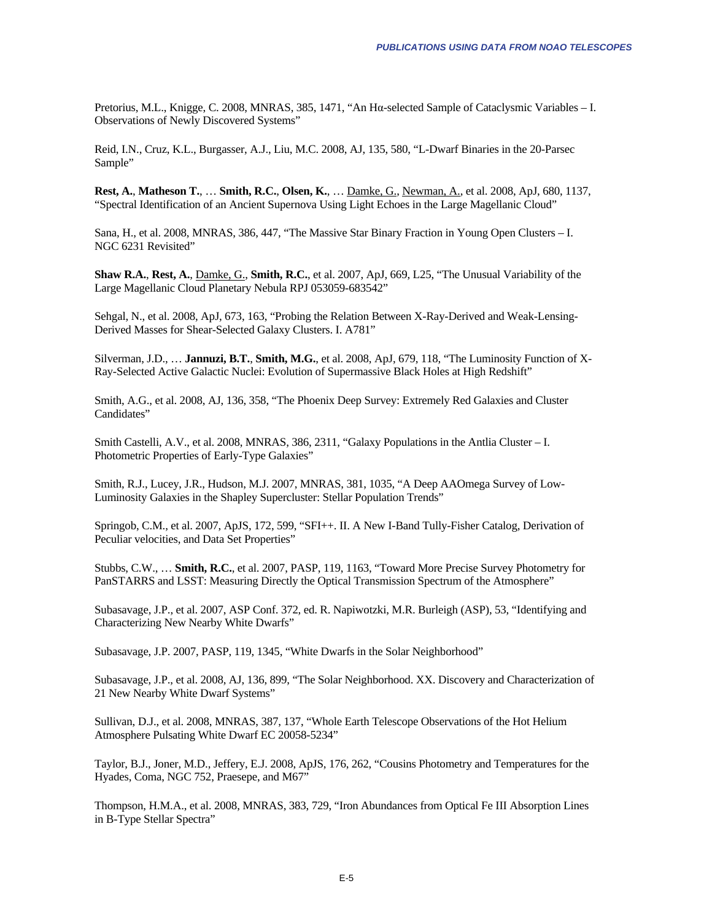Pretorius, M.L., Knigge, C. 2008, MNRAS, 385, 1471, "An Hα-selected Sample of Cataclysmic Variables – I. Observations of Newly Discovered Systems"

Reid, I.N., Cruz, K.L., Burgasser, A.J., Liu, M.C. 2008, AJ, 135, 580, "L-Dwarf Binaries in the 20-Parsec Sample"

**Rest, A.**, **Matheson T.**, … **Smith, R.C.**, **Olsen, K.**, … Damke, G., Newman, A., et al. 2008, ApJ, 680, 1137, "Spectral Identification of an Ancient Supernova Using Light Echoes in the Large Magellanic Cloud"

Sana, H., et al. 2008, MNRAS, 386, 447, "The Massive Star Binary Fraction in Young Open Clusters – I. NGC 6231 Revisited"

**Shaw R.A.**, **Rest, A.**, Damke, G., **Smith, R.C.**, et al. 2007, ApJ, 669, L25, "The Unusual Variability of the Large Magellanic Cloud Planetary Nebula RPJ 053059-683542"

Sehgal, N., et al. 2008, ApJ, 673, 163, "Probing the Relation Between X-Ray-Derived and Weak-Lensing-Derived Masses for Shear-Selected Galaxy Clusters. I. A781"

Silverman, J.D., … **Jannuzi, B.T.**, **Smith, M.G.**, et al. 2008, ApJ, 679, 118, "The Luminosity Function of X-Ray-Selected Active Galactic Nuclei: Evolution of Supermassive Black Holes at High Redshift"

Smith, A.G., et al. 2008, AJ, 136, 358, "The Phoenix Deep Survey: Extremely Red Galaxies and Cluster Candidates"

Smith Castelli, A.V., et al. 2008, MNRAS, 386, 2311, "Galaxy Populations in the Antlia Cluster – I. Photometric Properties of Early-Type Galaxies"

Smith, R.J., Lucey, J.R., Hudson, M.J. 2007, MNRAS, 381, 1035, "A Deep AAOmega Survey of Low-Luminosity Galaxies in the Shapley Supercluster: Stellar Population Trends"

Springob, C.M., et al. 2007, ApJS, 172, 599, "SFI++. II. A New I-Band Tully-Fisher Catalog, Derivation of Peculiar velocities, and Data Set Properties"

Stubbs, C.W., … **Smith, R.C.**, et al. 2007, PASP, 119, 1163, "Toward More Precise Survey Photometry for PanSTARRS and LSST: Measuring Directly the Optical Transmission Spectrum of the Atmosphere"

Subasavage, J.P., et al. 2007, ASP Conf. 372, ed. R. Napiwotzki, M.R. Burleigh (ASP), 53, "Identifying and Characterizing New Nearby White Dwarfs"

Subasavage, J.P. 2007, PASP, 119, 1345, "White Dwarfs in the Solar Neighborhood"

Subasavage, J.P., et al. 2008, AJ, 136, 899, "The Solar Neighborhood. XX. Discovery and Characterization of 21 New Nearby White Dwarf Systems"

Sullivan, D.J., et al. 2008, MNRAS, 387, 137, "Whole Earth Telescope Observations of the Hot Helium Atmosphere Pulsating White Dwarf EC 20058-5234"

Taylor, B.J., Joner, M.D., Jeffery, E.J. 2008, ApJS, 176, 262, "Cousins Photometry and Temperatures for the Hyades, Coma, NGC 752, Praesepe, and M67"

Thompson, H.M.A., et al. 2008, MNRAS, 383, 729, "Iron Abundances from Optical Fe III Absorption Lines in B-Type Stellar Spectra"